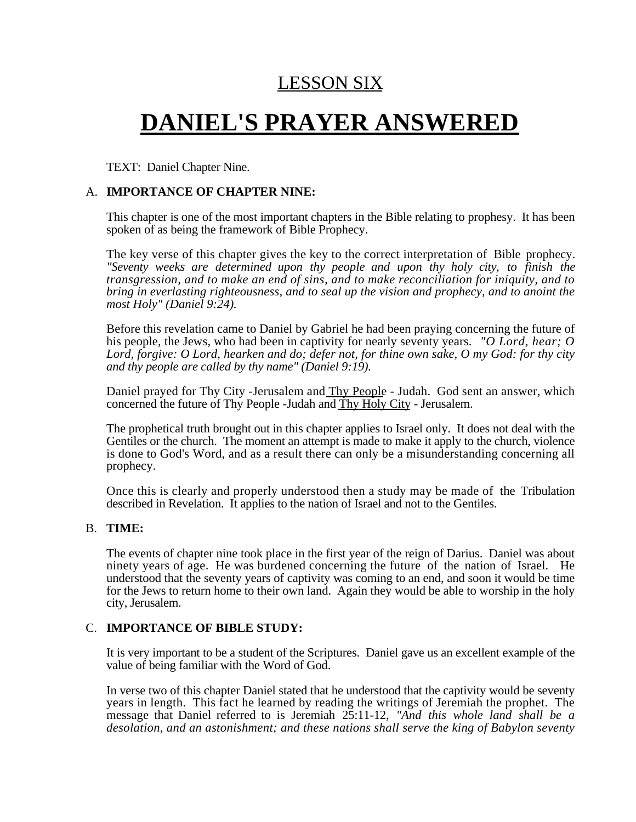### LESSON SIX

# **DANIEL'S PRAYER ANSWERED**

TEXT: Daniel Chapter Nine.

#### A. **IMPORTANCE OF CHAPTER NINE:**

This chapter is one of the most important chapters in the Bible relating to prophesy. It has been spoken of as being the framework of Bible Prophecy.

The key verse of this chapter gives the key to the correct interpretation of Bible prophecy. *"Seventy weeks are determined upon thy people and upon thy holy city, to finish the transgression, and to make an end of sins, and to make reconciliation for iniquity, and to bring in everlasting righteousness, and to seal up the vision and prophecy, and to anoint the most Holy" (Daniel 9:24).*

Before this revelation came to Daniel by Gabriel he had been praying concerning the future of his people, the Jews, who had been in captivity for nearly seventy years. *"O Lord, hear; O Lord, forgive: O Lord, hearken and do; defer not, for thine own sake, O my God: for thy city and thy people are called by thy name" (Daniel 9:19).*

Daniel prayed for Thy City -Jerusalem and Thy People - Judah. God sent an answer, which concerned the future of Thy People -Judah and Thy Holy City - Jerusalem.

The prophetical truth brought out in this chapter applies to Israel only. It does not deal with the Gentiles or the church. The moment an attempt is made to make it apply to the church, violence is done to God's Word, and as a result there can only be a misunderstanding concerning all prophecy.

Once this is clearly and properly understood then a study may be made of the Tribulation described in Revelation. It applies to the nation of Israel and not to the Gentiles.

#### B. **TIME:**

The events of chapter nine took place in the first year of the reign of Darius. Daniel was about ninety years of age. He was burdened concerning the future of the nation of Israel. He understood that the seventy years of captivity was coming to an end, and soon it would be time for the Jews to return home to their own land. Again they would be able to worship in the holy city, Jerusalem.

#### C. **IMPORTANCE OF BIBLE STUDY:**

It is very important to be a student of the Scriptures. Daniel gave us an excellent example of the value of being familiar with the Word of God.

In verse two of this chapter Daniel stated that he understood that the captivity would be seventy years in length. This fact he learned by reading the writings of Jeremiah the prophet. The message that Daniel referred to is Jeremiah 25:11-12, *"And this whole land shall be a desolation, and an astonishment; and these nations shall serve the king of Babylon seventy*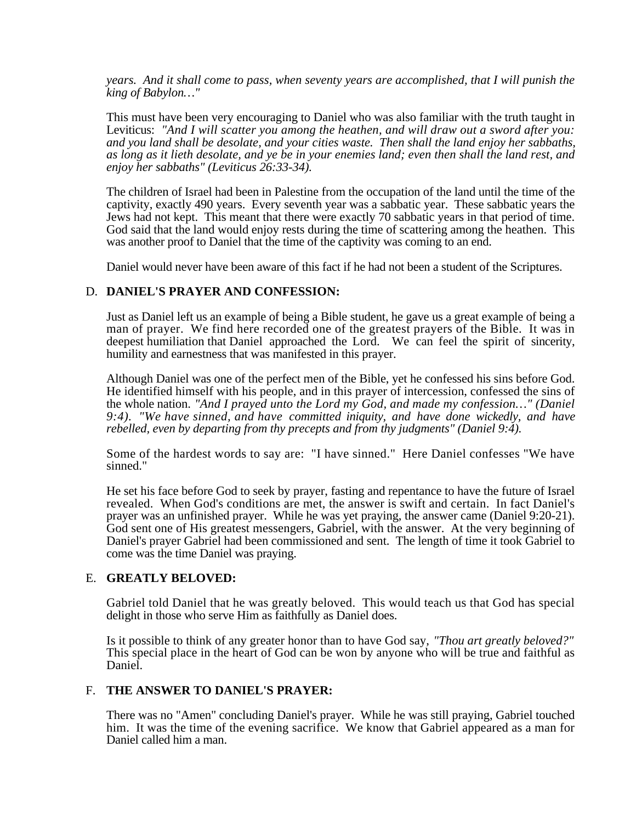*years. And it shall come to pass, when seventy years are accomplished, that I will punish the king of Babylon…"*

This must have been very encouraging to Daniel who was also familiar with the truth taught in Leviticus: *"And I will scatter you among the heathen, and will draw out a sword after you: and you land shall be desolate, and your cities waste. Then shall the land enjoy her sabbaths, as long as it lieth desolate, and ye be in your enemies land; even then shall the land rest, and enjoy her sabbaths" (Leviticus 26:33-34).*

The children of Israel had been in Palestine from the occupation of the land until the time of the captivity, exactly 490 years. Every seventh year was a sabbatic year. These sabbatic years the Jews had not kept. This meant that there were exactly 70 sabbatic years in that period of time. God said that the land would enjoy rests during the time of scattering among the heathen. This was another proof to Daniel that the time of the captivity was coming to an end.

Daniel would never have been aware of this fact if he had not been a student of the Scriptures.

#### D. **DANIEL'S PRAYER AND CONFESSION:**

Just as Daniel left us an example of being a Bible student, he gave us a great example of being a man of prayer. We find here recorded one of the greatest prayers of the Bible. It was in deepest humiliation that Daniel approached the Lord. We can feel the spirit of sincerity, humility and earnestness that was manifested in this prayer.

Although Daniel was one of the perfect men of the Bible, yet he confessed his sins before God. He identified himself with his people, and in this prayer of intercession, confessed the sins of the whole nation. *"And I prayed unto the Lord my God, and made my confession…" (Daniel 9:4). "We have sinned, and have committed iniquity, and have done wickedly, and have rebelled, even by departing from thy precepts and from thy judgments" (Daniel 9:4).*

Some of the hardest words to say are: "I have sinned." Here Daniel confesses "We have sinned."

He set his face before God to seek by prayer, fasting and repentance to have the future of Israel revealed. When God's conditions are met, the answer is swift and certain. In fact Daniel's prayer was an unfinished prayer. While he was yet praying, the answer came (Daniel 9:20-21). God sent one of His greatest messengers, Gabriel, with the answer. At the very beginning of Daniel's prayer Gabriel had been commissioned and sent. The length of time it took Gabriel to come was the time Daniel was praying.

#### E. **GREATLY BELOVED:**

Gabriel told Daniel that he was greatly beloved. This would teach us that God has special delight in those who serve Him as faithfully as Daniel does.

Is it possible to think of any greater honor than to have God say, *"Thou art greatly beloved?"* This special place in the heart of God can be won by anyone who will be true and faithful as Daniel.

#### F. **THE ANSWER TO DANIEL'S PRAYER:**

There was no "Amen" concluding Daniel's prayer. While he was still praying, Gabriel touched him. It was the time of the evening sacrifice. We know that Gabriel appeared as a man for Daniel called him a man.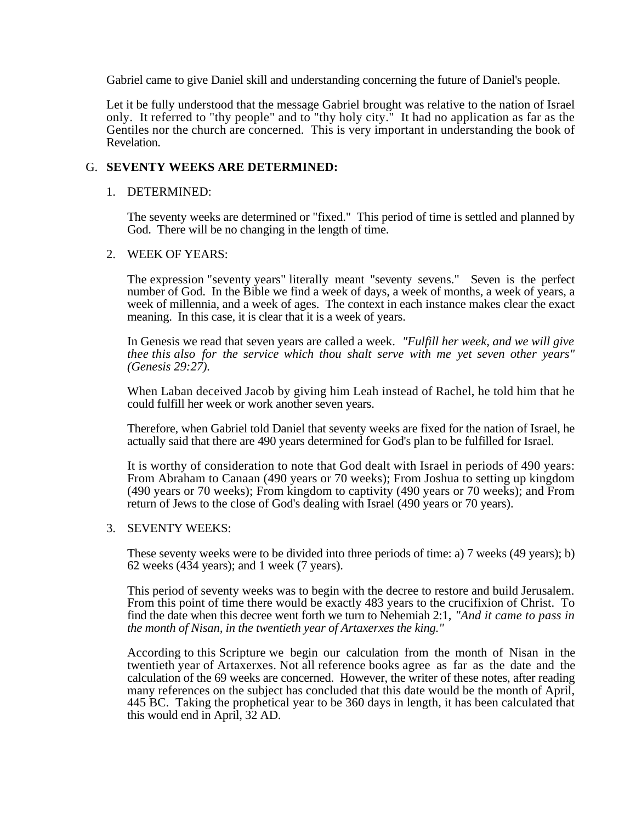Gabriel came to give Daniel skill and understanding concerning the future of Daniel's people.

Let it be fully understood that the message Gabriel brought was relative to the nation of Israel only. It referred to "thy people" and to "thy holy city." It had no application as far as the Gentiles nor the church are concerned. This is very important in understanding the book of Revelation.

#### G. **SEVENTY WEEKS ARE DETERMINED:**

#### 1. DETERMINED:

The seventy weeks are determined or "fixed." This period of time is settled and planned by God. There will be no changing in the length of time.

#### 2. WEEK OF YEARS:

The expression "seventy years" literally meant "seventy sevens." Seven is the perfect number of God. In the Bible we find a week of days, a week of months, a week of years, a week of millennia, and a week of ages. The context in each instance makes clear the exact meaning. In this case, it is clear that it is a week of years.

In Genesis we read that seven years are called a week. *"Fulfill her week, and we will give thee this also for the service which thou shalt serve with me yet seven other years" (Genesis 29:27).*

When Laban deceived Jacob by giving him Leah instead of Rachel, he told him that he could fulfill her week or work another seven years.

Therefore, when Gabriel told Daniel that seventy weeks are fixed for the nation of Israel, he actually said that there are 490 years determined for God's plan to be fulfilled for Israel.

It is worthy of consideration to note that God dealt with Israel in periods of 490 years: From Abraham to Canaan (490 years or 70 weeks); From Joshua to setting up kingdom (490 years or 70 weeks); From kingdom to captivity (490 years or 70 weeks); and From return of Jews to the close of God's dealing with Israel (490 years or 70 years).

#### 3. SEVENTY WEEKS:

These seventy weeks were to be divided into three periods of time: a) 7 weeks (49 years); b) 62 weeks (434 years); and 1 week (7 years).

This period of seventy weeks was to begin with the decree to restore and build Jerusalem. From this point of time there would be exactly 483 years to the crucifixion of Christ. To find the date when this decree went forth we turn to Nehemiah 2:1, *"And it came to pass in the month of Nisan, in the twentieth year of Artaxerxes the king."*

According to this Scripture we begin our calculation from the month of Nisan in the twentieth year of Artaxerxes. Not all reference books agree as far as the date and the calculation of the 69 weeks are concerned. However, the writer of these notes, after reading many references on the subject has concluded that this date would be the month of April, 445 BC. Taking the prophetical year to be 360 days in length, it has been calculated that this would end in April, 32 AD.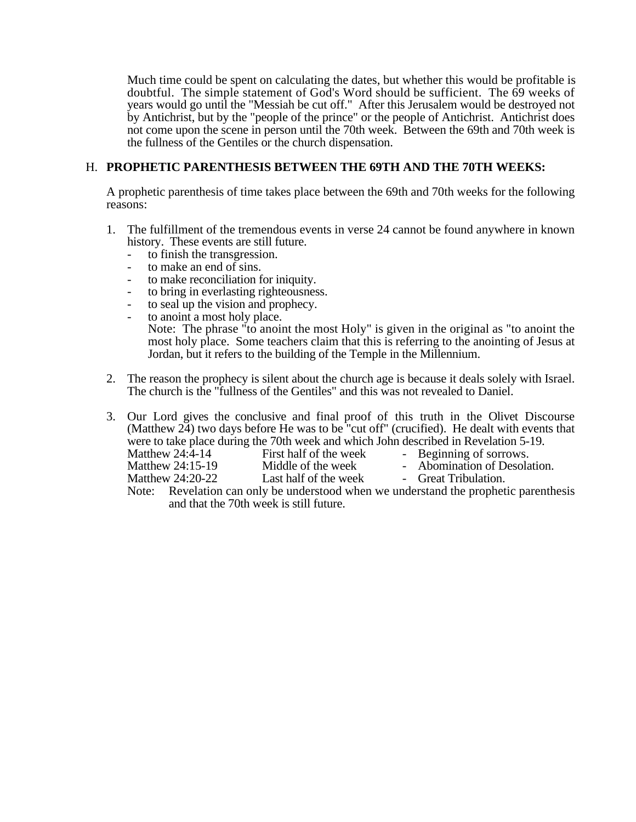Much time could be spent on calculating the dates, but whether this would be profitable is doubtful. The simple statement of God's Word should be sufficient. The 69 weeks of years would go until the "Messiah be cut off." After this Jerusalem would be destroyed not by Antichrist, but by the "people of the prince" or the people of Antichrist. Antichrist does not come upon the scene in person until the 70th week. Between the 69th and 70th week is the fullness of the Gentiles or the church dispensation.

#### H. **PROPHETIC PARENTHESIS BETWEEN THE 69TH AND THE 70TH WEEKS:**

A prophetic parenthesis of time takes place between the 69th and 70th weeks for the following reasons:

- 1. The fulfillment of the tremendous events in verse 24 cannot be found anywhere in known history. These events are still future.
	- to finish the transgression.
	- to make an end of sins.
	- to make reconciliation for iniquity.
	- to bring in everlasting righteousness.
	- to seal up the vision and prophecy.
	- to anoint a most holy place.

Note: The phrase "to anoint the most Holy" is given in the original as "to anoint the most holy place. Some teachers claim that this is referring to the anointing of Jesus at Jordan, but it refers to the building of the Temple in the Millennium.

2. The reason the prophecy is silent about the church age is because it deals solely with Israel. The church is the "fullness of the Gentiles" and this was not revealed to Daniel.

3. Our Lord gives the conclusive and final proof of this truth in the Olivet Discourse (Matthew 24) two days before He was to be "cut off" (crucified). He dealt with events that were to take place during the 70th week and which John described in Revelation 5-19.<br>Matthew 24:4-14 First half of the week - Beginning of sorrows.

Matthew 24:4-14 First half of the week - Beginning of sorrows.<br>
Matthew 24:15-19 Middle of the week - Abomination of Desola

- Matthew 24:15-19 Middle of the week Abomination of Desolation.<br>
Matthew 24:20-22 Last half of the week Great Tribulation. - Great Tribulation.
- Note: Revelation can only be understood when we understand the prophetic parenthesis and that the 70th week is still future.